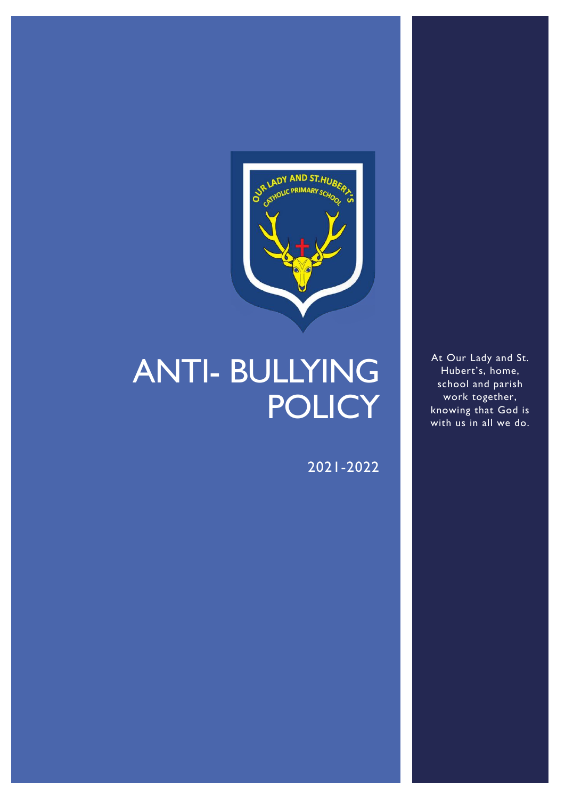

# ANTI- BULLYING **POLICY**

2021-2022

At Our Lady and St. Hubert's, home, school and parish work together, knowing that God is with us in all we do.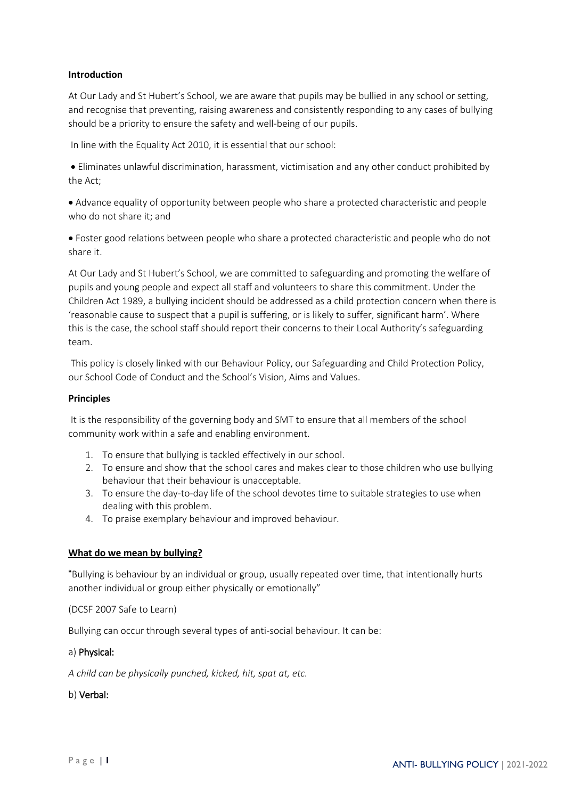# **Introduction**

At Our Lady and St Hubert's School, we are aware that pupils may be bullied in any school or setting, and recognise that preventing, raising awareness and consistently responding to any cases of bullying should be a priority to ensure the safety and well-being of our pupils.

In line with the Equality Act 2010, it is essential that our school:

• Eliminates unlawful discrimination, harassment, victimisation and any other conduct prohibited by the Act;

• Advance equality of opportunity between people who share a protected characteristic and people who do not share it; and

• Foster good relations between people who share a protected characteristic and people who do not share it.

At Our Lady and St Hubert's School, we are committed to safeguarding and promoting the welfare of pupils and young people and expect all staff and volunteers to share this commitment. Under the Children Act 1989, a bullying incident should be addressed as a child protection concern when there is 'reasonable cause to suspect that a pupil is suffering, or is likely to suffer, significant harm'. Where this is the case, the school staff should report their concerns to their Local Authority's safeguarding team.

This policy is closely linked with our Behaviour Policy, our Safeguarding and Child Protection Policy, our School Code of Conduct and the School's Vision, Aims and Values.

#### **Principles**

It is the responsibility of the governing body and SMT to ensure that all members of the school community work within a safe and enabling environment.

- 1. To ensure that bullying is tackled effectively in our school.
- 2. To ensure and show that the school cares and makes clear to those children who use bullying behaviour that their behaviour is unacceptable.
- 3. To ensure the day-to-day life of the school devotes time to suitable strategies to use when dealing with this problem.
- 4. To praise exemplary behaviour and improved behaviour.

## **What do we mean by bullying?**

"Bullying is behaviour by an individual or group, usually repeated over time, that intentionally hurts another individual or group either physically or emotionally"

## (DCSF 2007 Safe to Learn)

Bullying can occur through several types of anti-social behaviour. It can be:

## a) Physical:

*A child can be physically punched, kicked, hit, spat at, etc.*

## b) Verbal: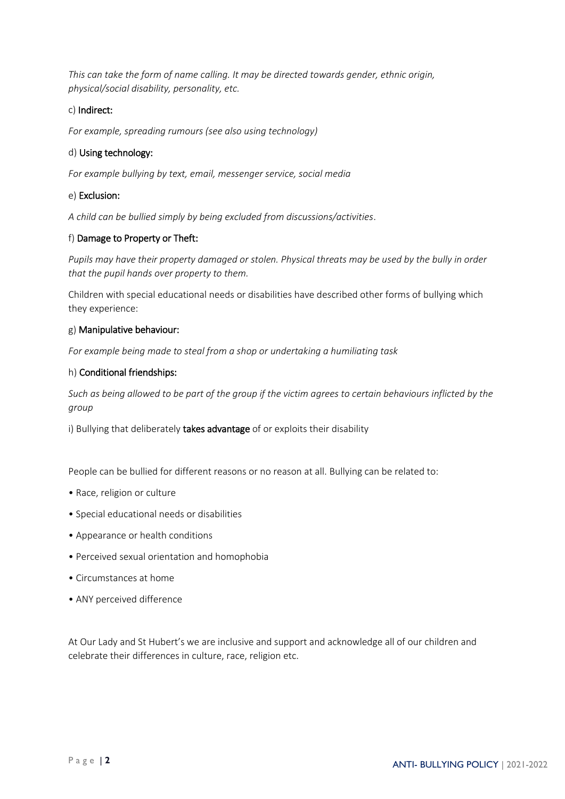*This can take the form of name calling. It may be directed towards gender, ethnic origin, physical/social disability, personality, etc.*

# c) Indirect:

*For example, spreading rumours (see also using technology)*

# d) Using technology:

*For example bullying by text, email, messenger service, social media*

## e) Exclusion:

*A child can be bullied simply by being excluded from discussions/activities*.

## f) Damage to Property or Theft:

*Pupils may have their property damaged or stolen. Physical threats may be used by the bully in order that the pupil hands over property to them.*

Children with special educational needs or disabilities have described other forms of bullying which they experience:

## g) Manipulative behaviour:

*For example being made to steal from a shop or undertaking a humiliating task*

## h) Conditional friendships:

*Such as being allowed to be part of the group if the victim agrees to certain behaviours inflicted by the group*

i) Bullying that deliberately takes advantage of or exploits their disability

People can be bullied for different reasons or no reason at all. Bullying can be related to:

- Race, religion or culture
- Special educational needs or disabilities
- Appearance or health conditions
- Perceived sexual orientation and homophobia
- Circumstances at home
- ANY perceived difference

At Our Lady and St Hubert's we are inclusive and support and acknowledge all of our children and celebrate their differences in culture, race, religion etc.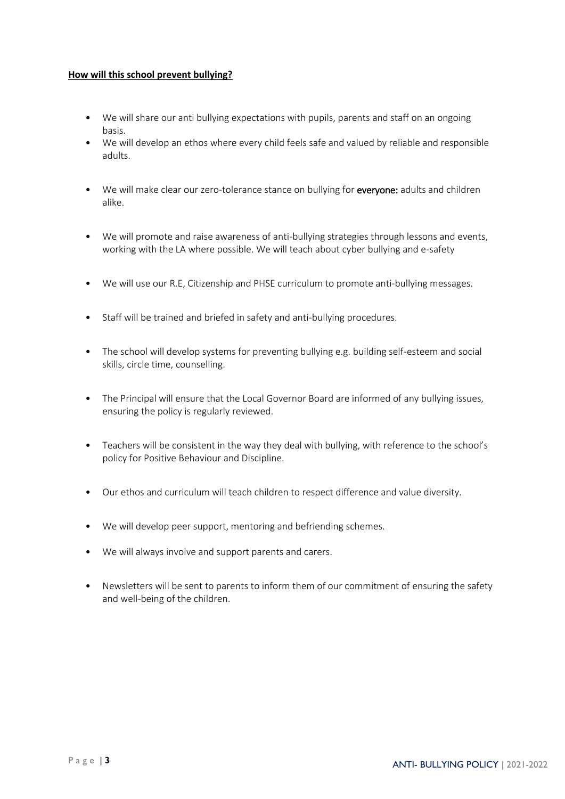## **How will this school prevent bullying?**

- We will share our anti bullying expectations with pupils, parents and staff on an ongoing basis.
- We will develop an ethos where every child feels safe and valued by reliable and responsible adults.
- We will make clear our zero-tolerance stance on bullying for everyone: adults and children alike.
- We will promote and raise awareness of anti-bullying strategies through lessons and events, working with the LA where possible. We will teach about cyber bullying and e-safety
- We will use our R.E, Citizenship and PHSE curriculum to promote anti-bullying messages.
- Staff will be trained and briefed in safety and anti-bullying procedures.
- The school will develop systems for preventing bullying e.g. building self-esteem and social skills, circle time, counselling.
- The Principal will ensure that the Local Governor Board are informed of any bullying issues, ensuring the policy is regularly reviewed.
- Teachers will be consistent in the way they deal with bullying, with reference to the school's policy for Positive Behaviour and Discipline.
- Our ethos and curriculum will teach children to respect difference and value diversity.
- We will develop peer support, mentoring and befriending schemes.
- We will always involve and support parents and carers.
- Newsletters will be sent to parents to inform them of our commitment of ensuring the safety and well-being of the children.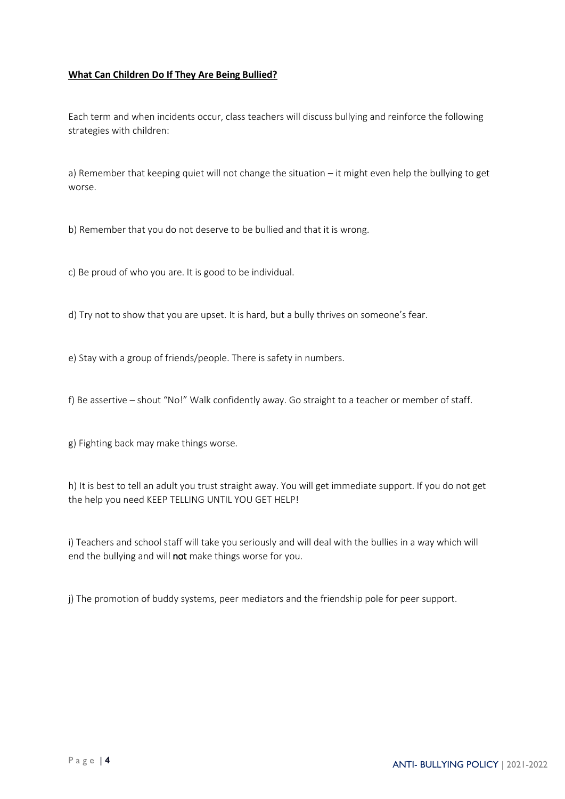# **What Can Children Do If They Are Being Bullied?**

Each term and when incidents occur, class teachers will discuss bullying and reinforce the following strategies with children:

a) Remember that keeping quiet will not change the situation – it might even help the bullying to get worse.

b) Remember that you do not deserve to be bullied and that it is wrong.

c) Be proud of who you are. It is good to be individual.

d) Try not to show that you are upset. It is hard, but a bully thrives on someone's fear.

e) Stay with a group of friends/people. There is safety in numbers.

f) Be assertive – shout "No!" Walk confidently away. Go straight to a teacher or member of staff.

g) Fighting back may make things worse.

h) It is best to tell an adult you trust straight away. You will get immediate support. If you do not get the help you need KEEP TELLING UNTIL YOU GET HELP!

i) Teachers and school staff will take you seriously and will deal with the bullies in a way which will end the bullying and will not make things worse for you.

j) The promotion of buddy systems, peer mediators and the friendship pole for peer support.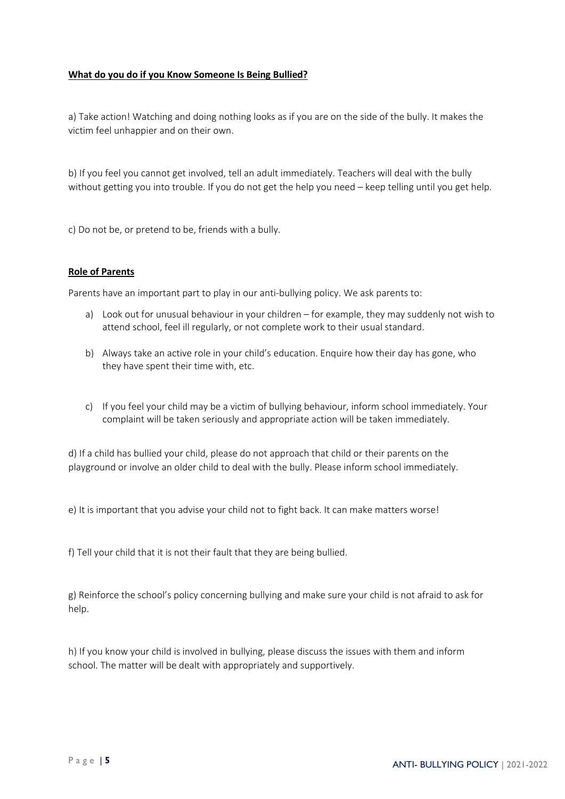## **What do you do if you Know Someone Is Being Bullied?**

a) Take action! Watching and doing nothing looks as if you are on the side of the bully. It makes the victim feel unhappier and on their own.

b) If you feel you cannot get involved, tell an adult immediately. Teachers will deal with the bully without getting you into trouble. If you do not get the help you need – keep telling until you get help.

c) Do not be, or pretend to be, friends with a bully.

## **Role of Parents**

Parents have an important part to play in our anti-bullying policy. We ask parents to:

- a) Look out for unusual behaviour in your children for example, they may suddenly not wish to attend school, feel ill regularly, or not complete work to their usual standard.
- b) Always take an active role in your child's education. Enquire how their day has gone, who they have spent their time with, etc.
- c) If you feel your child may be a victim of bullying behaviour, inform school immediately. Your complaint will be taken seriously and appropriate action will be taken immediately.

d) If a child has bullied your child, please do not approach that child or their parents on the playground or involve an older child to deal with the bully. Please inform school immediately.

e) It is important that you advise your child not to fight back. It can make matters worse!

f) Tell your child that it is not their fault that they are being bullied.

g) Reinforce the school's policy concerning bullying and make sure your child is not afraid to ask for help.

h) If you know your child is involved in bullying, please discuss the issues with them and inform school. The matter will be dealt with appropriately and supportively.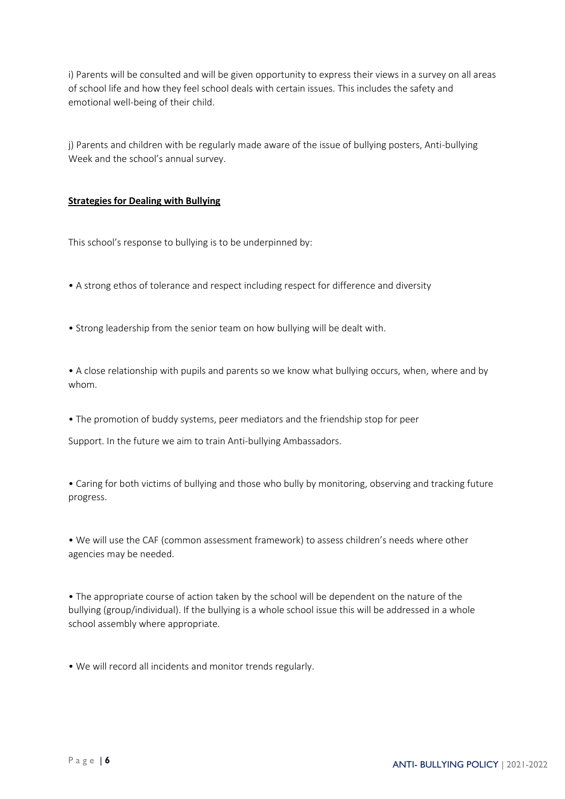i) Parents will be consulted and will be given opportunity to express their views in a survey on all areas of school life and how they feel school deals with certain issues. This includes the safety and emotional well-being of their child.

j) Parents and children with be regularly made aware of the issue of bullying posters, Anti-bullying Week and the school's annual survey.

## **Strategies for Dealing with Bullying**

This school's response to bullying is to be underpinned by:

- A strong ethos of tolerance and respect including respect for difference and diversity
- Strong leadership from the senior team on how bullying will be dealt with.

• A close relationship with pupils and parents so we know what bullying occurs, when, where and by whom.

• The promotion of buddy systems, peer mediators and the friendship stop for peer

Support. In the future we aim to train Anti-bullying Ambassadors.

• Caring for both victims of bullying and those who bully by monitoring, observing and tracking future progress.

• We will use the CAF (common assessment framework) to assess children's needs where other agencies may be needed.

• The appropriate course of action taken by the school will be dependent on the nature of the bullying (group/individual). If the bullying is a whole school issue this will be addressed in a whole school assembly where appropriate.

• We will record all incidents and monitor trends regularly.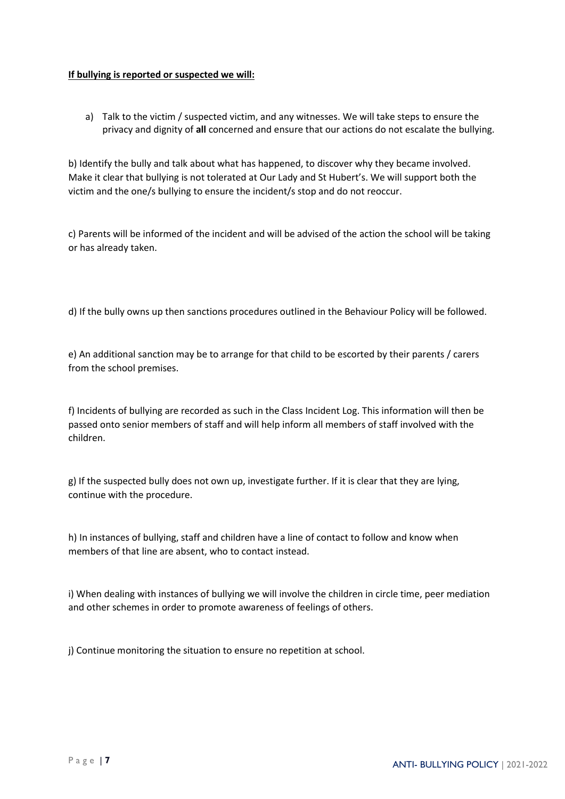## **If bullying is reported or suspected we will:**

a) Talk to the victim / suspected victim, and any witnesses. We will take steps to ensure the privacy and dignity of **all** concerned and ensure that our actions do not escalate the bullying.

b) Identify the bully and talk about what has happened, to discover why they became involved. Make it clear that bullying is not tolerated at Our Lady and St Hubert's. We will support both the victim and the one/s bullying to ensure the incident/s stop and do not reoccur.

c) Parents will be informed of the incident and will be advised of the action the school will be taking or has already taken.

d) If the bully owns up then sanctions procedures outlined in the Behaviour Policy will be followed.

e) An additional sanction may be to arrange for that child to be escorted by their parents / carers from the school premises.

f) Incidents of bullying are recorded as such in the Class Incident Log. This information will then be passed onto senior members of staff and will help inform all members of staff involved with the children.

g) If the suspected bully does not own up, investigate further. If it is clear that they are lying, continue with the procedure.

h) In instances of bullying, staff and children have a line of contact to follow and know when members of that line are absent, who to contact instead.

i) When dealing with instances of bullying we will involve the children in circle time, peer mediation and other schemes in order to promote awareness of feelings of others.

j) Continue monitoring the situation to ensure no repetition at school.